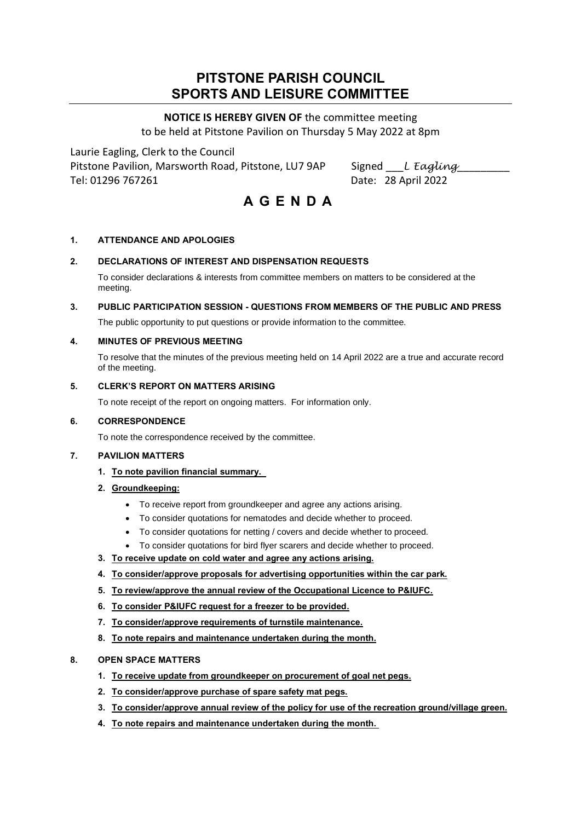## **PITSTONE PARISH COUNCIL SPORTS AND LEISURE COMMITTEE**

## **NOTICE IS HEREBY GIVEN OF** the committee meeting to be held at Pitstone Pavilion on Thursday 5 May 2022 at 8pm

Laurie Eagling, Clerk to the Council

Pitstone Pavilion, Marsworth Road, Pitstone, LU7 9AP Signed \_\_*L Eagling\_\_\_* Tel: 01296 767261 Date: 28 April 2022

# **A G E N D A**

### **1. ATTENDANCE AND APOLOGIES**

#### **2. DECLARATIONS OF INTEREST AND DISPENSATION REQUESTS**

To consider declarations & interests from committee members on matters to be considered at the meeting.

**3. PUBLIC PARTICIPATION SESSION - QUESTIONS FROM MEMBERS OF THE PUBLIC AND PRESS**

The public opportunity to put questions or provide information to the committee.

#### **4. MINUTES OF PREVIOUS MEETING**

To resolve that the minutes of the previous meeting held on 14 April 2022 are a true and accurate record of the meeting.

#### **5. CLERK'S REPORT ON MATTERS ARISING**

To note receipt of the report on ongoing matters. For information only.

#### **6. CORRESPONDENCE**

To note the correspondence received by the committee.

#### **7. PAVILION MATTERS**

- **1. To note pavilion financial summary.**
- **2. Groundkeeping:**
	- To receive report from groundkeeper and agree any actions arising.
	- To consider quotations for nematodes and decide whether to proceed.
	- To consider quotations for netting / covers and decide whether to proceed.
	- To consider quotations for bird flyer scarers and decide whether to proceed.
- **3. To receive update on cold water and agree any actions arising.**
- **4. To consider/approve proposals for advertising opportunities within the car park.**
- **5. To review/approve the annual review of the Occupational Licence to P&IUFC.**
- **6. To consider P&IUFC request for a freezer to be provided.**
- **7. To consider/approve requirements of turnstile maintenance.**
- **8. To note repairs and maintenance undertaken during the month.**

#### **8. OPEN SPACE MATTERS**

- **1. To receive update from groundkeeper on procurement of goal net pegs.**
- **2. To consider/approve purchase of spare safety mat pegs.**
- **3. To consider/approve annual review of the policy for use of the recreation ground/village green.**
- **4. To note repairs and maintenance undertaken during the month.**